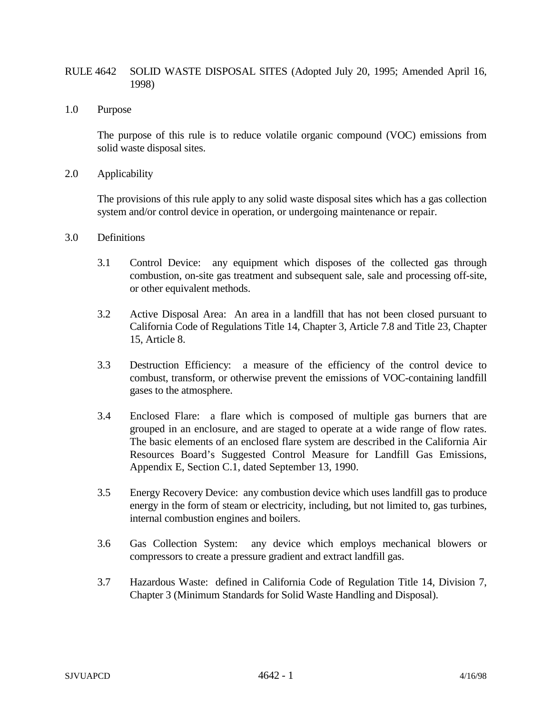### RULE 4642 SOLID WASTE DISPOSAL SITES (Adopted July 20, 1995; Amended April 16, 1998)

1.0 Purpose

The purpose of this rule is to reduce volatile organic compound (VOC) emissions from solid waste disposal sites.

2.0 Applicability

The provisions of this rule apply to any solid waste disposal sites which has a gas collection system and/or control device in operation, or undergoing maintenance or repair.

- 3.0 Definitions
	- 3.1 Control Device: any equipment which disposes of the collected gas through combustion, on-site gas treatment and subsequent sale, sale and processing off-site, or other equivalent methods.
	- 3.2 Active Disposal Area: An area in a landfill that has not been closed pursuant to California Code of Regulations Title 14, Chapter 3, Article 7.8 and Title 23, Chapter 15, Article 8.
	- 3.3 Destruction Efficiency: a measure of the efficiency of the control device to combust, transform, or otherwise prevent the emissions of VOC-containing landfill gases to the atmosphere.
	- 3.4 Enclosed Flare: a flare which is composed of multiple gas burners that are grouped in an enclosure, and are staged to operate at a wide range of flow rates. The basic elements of an enclosed flare system are described in the California Air Resources Board's Suggested Control Measure for Landfill Gas Emissions, Appendix E, Section C.1, dated September 13, 1990.
	- 3.5 Energy Recovery Device: any combustion device which uses landfill gas to produce energy in the form of steam or electricity, including, but not limited to, gas turbines, internal combustion engines and boilers.
	- 3.6 Gas Collection System: any device which employs mechanical blowers or compressors to create a pressure gradient and extract landfill gas.
	- 3.7 Hazardous Waste: defined in California Code of Regulation Title 14, Division 7, Chapter 3 (Minimum Standards for Solid Waste Handling and Disposal).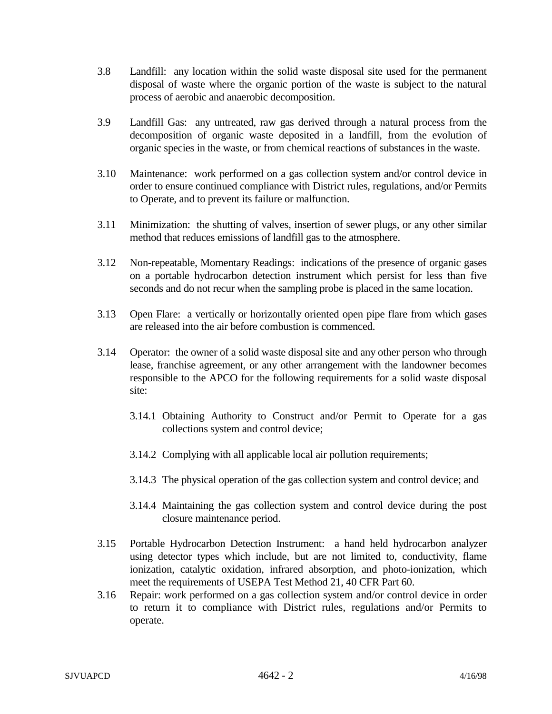- 3.8 Landfill: any location within the solid waste disposal site used for the permanent disposal of waste where the organic portion of the waste is subject to the natural process of aerobic and anaerobic decomposition.
- 3.9 Landfill Gas: any untreated, raw gas derived through a natural process from the decomposition of organic waste deposited in a landfill, from the evolution of organic species in the waste, or from chemical reactions of substances in the waste.
- 3.10 Maintenance: work performed on a gas collection system and/or control device in order to ensure continued compliance with District rules, regulations, and/or Permits to Operate, and to prevent its failure or malfunction.
- 3.11 Minimization: the shutting of valves, insertion of sewer plugs, or any other similar method that reduces emissions of landfill gas to the atmosphere.
- 3.12 Non-repeatable, Momentary Readings: indications of the presence of organic gases on a portable hydrocarbon detection instrument which persist for less than five seconds and do not recur when the sampling probe is placed in the same location.
- 3.13 Open Flare: a vertically or horizontally oriented open pipe flare from which gases are released into the air before combustion is commenced.
- 3.14 Operator: the owner of a solid waste disposal site and any other person who through lease, franchise agreement, or any other arrangement with the landowner becomes responsible to the APCO for the following requirements for a solid waste disposal site:
	- 3.14.1 Obtaining Authority to Construct and/or Permit to Operate for a gas collections system and control device;
	- 3.14.2 Complying with all applicable local air pollution requirements;
	- 3.14.3 The physical operation of the gas collection system and control device; and
	- 3.14.4 Maintaining the gas collection system and control device during the post closure maintenance period.
- 3.15 Portable Hydrocarbon Detection Instrument: a hand held hydrocarbon analyzer using detector types which include, but are not limited to, conductivity, flame ionization, catalytic oxidation, infrared absorption, and photo-ionization, which meet the requirements of USEPA Test Method 21, 40 CFR Part 60.
- 3.16 Repair: work performed on a gas collection system and/or control device in order to return it to compliance with District rules, regulations and/or Permits to operate.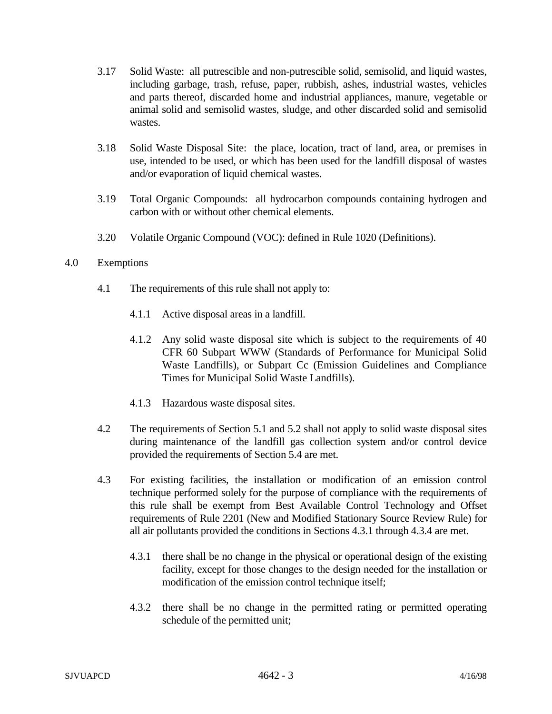- 3.17 Solid Waste: all putrescible and non-putrescible solid, semisolid, and liquid wastes, including garbage, trash, refuse, paper, rubbish, ashes, industrial wastes, vehicles and parts thereof, discarded home and industrial appliances, manure, vegetable or animal solid and semisolid wastes, sludge, and other discarded solid and semisolid wastes.
- 3.18 Solid Waste Disposal Site: the place, location, tract of land, area, or premises in use, intended to be used, or which has been used for the landfill disposal of wastes and/or evaporation of liquid chemical wastes.
- 3.19 Total Organic Compounds: all hydrocarbon compounds containing hydrogen and carbon with or without other chemical elements.
- 3.20 Volatile Organic Compound (VOC): defined in Rule 1020 (Definitions).

# 4.0 Exemptions

- 4.1 The requirements of this rule shall not apply to:
	- 4.1.1 Active disposal areas in a landfill.
	- 4.1.2 Any solid waste disposal site which is subject to the requirements of 40 CFR 60 Subpart WWW (Standards of Performance for Municipal Solid Waste Landfills), or Subpart Cc (Emission Guidelines and Compliance Times for Municipal Solid Waste Landfills).
	- 4.1.3 Hazardous waste disposal sites.
- 4.2 The requirements of Section 5.1 and 5.2 shall not apply to solid waste disposal sites during maintenance of the landfill gas collection system and/or control device provided the requirements of Section 5.4 are met.
- 4.3 For existing facilities, the installation or modification of an emission control technique performed solely for the purpose of compliance with the requirements of this rule shall be exempt from Best Available Control Technology and Offset requirements of Rule 2201 (New and Modified Stationary Source Review Rule) for all air pollutants provided the conditions in Sections 4.3.1 through 4.3.4 are met.
	- 4.3.1 there shall be no change in the physical or operational design of the existing facility, except for those changes to the design needed for the installation or modification of the emission control technique itself;
	- 4.3.2 there shall be no change in the permitted rating or permitted operating schedule of the permitted unit;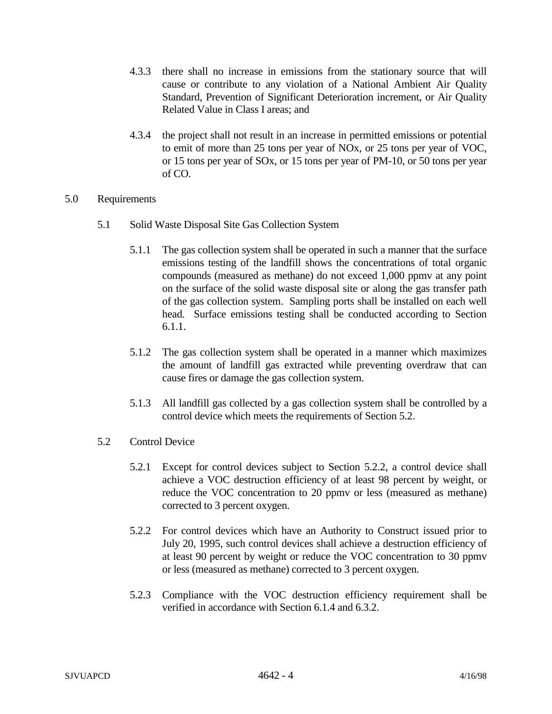- 4.3.3 there shall no increase in emissions from the stationary source that will cause or contribute to any violation of a National Ambient Air Quality Standard, Prevention of Significant Deterioration increment, or Air Quality Related Value in Class I areas; and
- 4.3.4 the project shall not result in an increase in permitted emissions or potential to emit of more than 25 tons per year of NOx, or 25 tons per year of VOC, or 15 tons per year of SOx, or 15 tons per year of PM-10, or 50 tons per year of CO.
- 5.0 Requirements
	- 5.1 Solid Waste Disposal Site Gas Collection System
		- 5.1.1 The gas collection system shall be operated in such a manner that the surface emissions testing of the landfill shows the concentrations of total organic compounds (measured as methane) do not exceed 1,000 ppmv at any point on the surface of the solid waste disposal site or along the gas transfer path of the gas collection system. Sampling ports shall be installed on each well head. Surface emissions testing shall be conducted according to Section 6.1.1.
		- 5.1.2 The gas collection system shall be operated in a manner which maximizes the amount of landfill gas extracted while preventing overdraw that can cause fires or damage the gas collection system.
		- 5.1.3 All landfill gas collected by a gas collection system shall be controlled by a control device which meets the requirements of Section 5.2.
	- 5.2 Control Device
		- 5.2.1 Except for control devices subject to Section 5.2.2, a control device shall achieve a VOC destruction efficiency of at least 98 percent by weight, or reduce the VOC concentration to 20 ppmv or less (measured as methane) corrected to 3 percent oxygen.
		- 5.2.2 For control devices which have an Authority to Construct issued prior to July 20, 1995, such control devices shall achieve a destruction efficiency of at least 90 percent by weight or reduce the VOC concentration to 30 ppmv or less (measured as methane) corrected to 3 percent oxygen.
		- 5.2.3 Compliance with the VOC destruction efficiency requirement shall be verified in accordance with Section 6.1.4 and 6.3.2.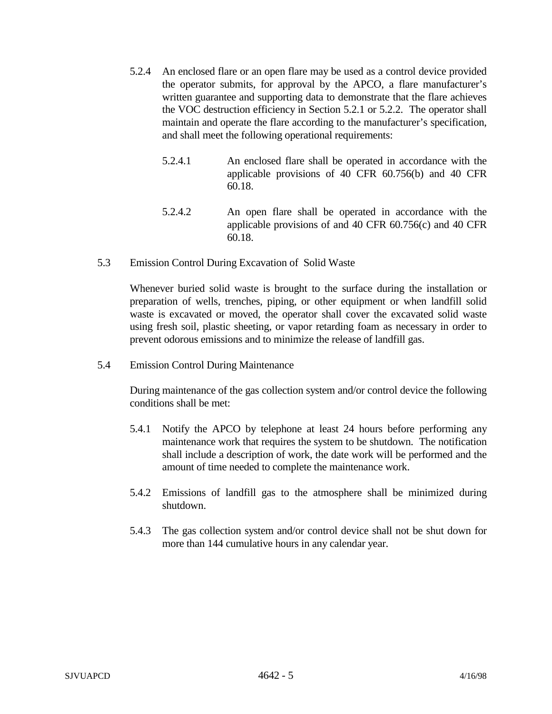- 5.2.4 An enclosed flare or an open flare may be used as a control device provided the operator submits, for approval by the APCO, a flare manufacturer's written guarantee and supporting data to demonstrate that the flare achieves the VOC destruction efficiency in Section 5.2.1 or 5.2.2. The operator shall maintain and operate the flare according to the manufacturer's specification, and shall meet the following operational requirements:
	- 5.2.4.1 An enclosed flare shall be operated in accordance with the applicable provisions of 40 CFR 60.756(b) and 40 CFR 60.18.
	- 5.2.4.2 An open flare shall be operated in accordance with the applicable provisions of and 40 CFR 60.756(c) and 40 CFR 60.18.
- 5.3 Emission Control During Excavation of Solid Waste

Whenever buried solid waste is brought to the surface during the installation or preparation of wells, trenches, piping, or other equipment or when landfill solid waste is excavated or moved, the operator shall cover the excavated solid waste using fresh soil, plastic sheeting, or vapor retarding foam as necessary in order to prevent odorous emissions and to minimize the release of landfill gas.

5.4 Emission Control During Maintenance

During maintenance of the gas collection system and/or control device the following conditions shall be met:

- 5.4.1 Notify the APCO by telephone at least 24 hours before performing any maintenance work that requires the system to be shutdown. The notification shall include a description of work, the date work will be performed and the amount of time needed to complete the maintenance work.
- 5.4.2 Emissions of landfill gas to the atmosphere shall be minimized during shutdown.
- 5.4.3 The gas collection system and/or control device shall not be shut down for more than 144 cumulative hours in any calendar year.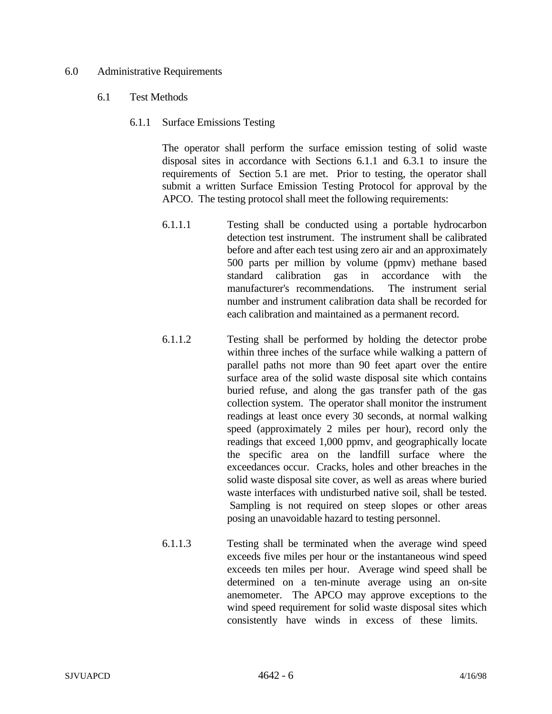#### 6.0 Administrative Requirements

#### 6.1 Test Methods

6.1.1 Surface Emissions Testing

The operator shall perform the surface emission testing of solid waste disposal sites in accordance with Sections 6.1.1 and 6.3.1 to insure the requirements of Section 5.1 are met. Prior to testing, the operator shall submit a written Surface Emission Testing Protocol for approval by the APCO. The testing protocol shall meet the following requirements:

- 6.1.1.1 Testing shall be conducted using a portable hydrocarbon detection test instrument. The instrument shall be calibrated before and after each test using zero air and an approximately 500 parts per million by volume (ppmv) methane based standard calibration gas in accordance with the manufacturer's recommendations. The instrument serial number and instrument calibration data shall be recorded for each calibration and maintained as a permanent record.
- 6.1.1.2 Testing shall be performed by holding the detector probe within three inches of the surface while walking a pattern of parallel paths not more than 90 feet apart over the entire surface area of the solid waste disposal site which contains buried refuse, and along the gas transfer path of the gas collection system. The operator shall monitor the instrument readings at least once every 30 seconds, at normal walking speed (approximately 2 miles per hour), record only the readings that exceed 1,000 ppmv, and geographically locate the specific area on the landfill surface where the exceedances occur. Cracks, holes and other breaches in the solid waste disposal site cover, as well as areas where buried waste interfaces with undisturbed native soil, shall be tested. Sampling is not required on steep slopes or other areas posing an unavoidable hazard to testing personnel.
- 6.1.1.3 Testing shall be terminated when the average wind speed exceeds five miles per hour or the instantaneous wind speed exceeds ten miles per hour. Average wind speed shall be determined on a ten-minute average using an on-site anemometer. The APCO may approve exceptions to the wind speed requirement for solid waste disposal sites which consistently have winds in excess of these limits.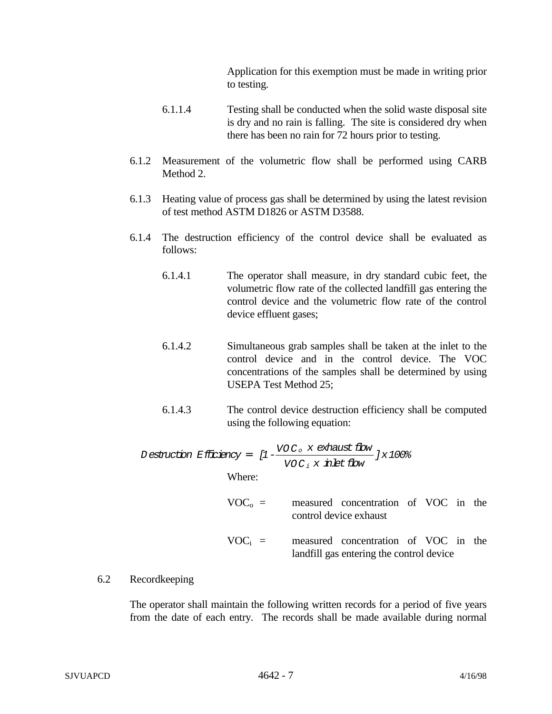Application for this exemption must be made in writing prior to testing.

- 6.1.1.4 Testing shall be conducted when the solid waste disposal site is dry and no rain is falling. The site is considered dry when there has been no rain for 72 hours prior to testing.
- 6.1.2 Measurement of the volumetric flow shall be performed using CARB Method 2.
- 6.1.3 Heating value of process gas shall be determined by using the latest revision of test method ASTM D1826 or ASTM D3588.
- 6.1.4 The destruction efficiency of the control device shall be evaluated as follows:
	- 6.1.4.1 The operator shall measure, in dry standard cubic feet, the volumetric flow rate of the collected landfill gas entering the control device and the volumetric flow rate of the control device effluent gases;
	- 6.1.4.2 Simultaneous grab samples shall be taken at the inlet to the control device and in the control device. The VOC concentrations of the samples shall be determined by using USEPA Test Method 25;
	- 6.1.4.3 The control device destruction efficiency shall be computed using the following equation:

Definition Efficiency = 
$$
[1 - \frac{VOC_0 \times \text{exhaust flow}}{VOC_1 \times \text{inlet flow}}] \times 100\%
$$

\nWhere:

- $VOC<sub>o</sub>$  = measured concentration of VOC in the control device exhaust
- $VOC_i$  = measured concentration of VOC in the landfill gas entering the control device

## 6.2 Recordkeeping

The operator shall maintain the following written records for a period of five years from the date of each entry. The records shall be made available during normal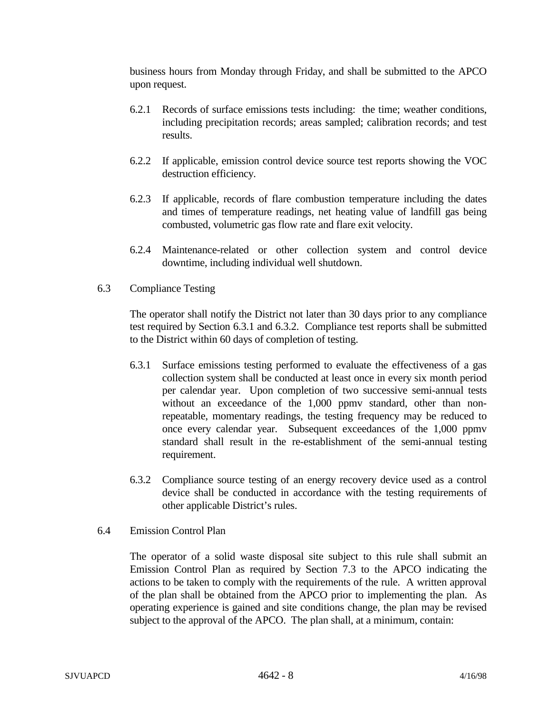business hours from Monday through Friday, and shall be submitted to the APCO upon request.

- 6.2.1 Records of surface emissions tests including: the time; weather conditions, including precipitation records; areas sampled; calibration records; and test results.
- 6.2.2 If applicable, emission control device source test reports showing the VOC destruction efficiency.
- 6.2.3 If applicable, records of flare combustion temperature including the dates and times of temperature readings, net heating value of landfill gas being combusted, volumetric gas flow rate and flare exit velocity.
- 6.2.4 Maintenance-related or other collection system and control device downtime, including individual well shutdown.
- 6.3 Compliance Testing

The operator shall notify the District not later than 30 days prior to any compliance test required by Section 6.3.1 and 6.3.2. Compliance test reports shall be submitted to the District within 60 days of completion of testing.

- 6.3.1 Surface emissions testing performed to evaluate the effectiveness of a gas collection system shall be conducted at least once in every six month period per calendar year. Upon completion of two successive semi-annual tests without an exceedance of the 1,000 ppmy standard, other than nonrepeatable, momentary readings, the testing frequency may be reduced to once every calendar year. Subsequent exceedances of the 1,000 ppmv standard shall result in the re-establishment of the semi-annual testing requirement.
- 6.3.2 Compliance source testing of an energy recovery device used as a control device shall be conducted in accordance with the testing requirements of other applicable District's rules.
- 6.4 Emission Control Plan

The operator of a solid waste disposal site subject to this rule shall submit an Emission Control Plan as required by Section 7.3 to the APCO indicating the actions to be taken to comply with the requirements of the rule. A written approval of the plan shall be obtained from the APCO prior to implementing the plan. As operating experience is gained and site conditions change, the plan may be revised subject to the approval of the APCO. The plan shall, at a minimum, contain: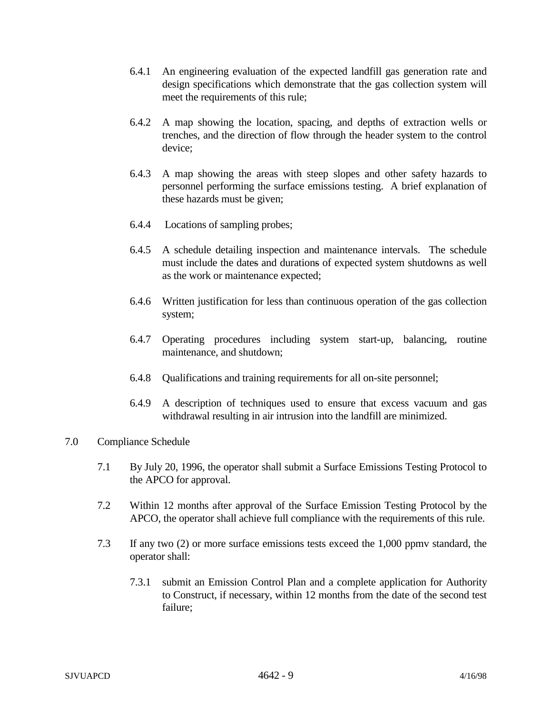- 6.4.1 An engineering evaluation of the expected landfill gas generation rate and design specifications which demonstrate that the gas collection system will meet the requirements of this rule;
- 6.4.2 A map showing the location, spacing, and depths of extraction wells or trenches, and the direction of flow through the header system to the control device;
- 6.4.3 A map showing the areas with steep slopes and other safety hazards to personnel performing the surface emissions testing. A brief explanation of these hazards must be given;
- 6.4.4 Locations of sampling probes;
- 6.4.5 A schedule detailing inspection and maintenance intervals. The schedule must include the dates and durations of expected system shutdowns as well as the work or maintenance expected;
- 6.4.6 Written justification for less than continuous operation of the gas collection system;
- 6.4.7 Operating procedures including system start-up, balancing, routine maintenance, and shutdown;
- 6.4.8 Qualifications and training requirements for all on-site personnel;
- 6.4.9 A description of techniques used to ensure that excess vacuum and gas withdrawal resulting in air intrusion into the landfill are minimized.
- 7.0 Compliance Schedule
	- 7.1 By July 20, 1996, the operator shall submit a Surface Emissions Testing Protocol to the APCO for approval.
	- 7.2 Within 12 months after approval of the Surface Emission Testing Protocol by the APCO, the operator shall achieve full compliance with the requirements of this rule.
	- 7.3 If any two (2) or more surface emissions tests exceed the 1,000 ppmv standard, the operator shall:
		- 7.3.1 submit an Emission Control Plan and a complete application for Authority to Construct, if necessary, within 12 months from the date of the second test failure;